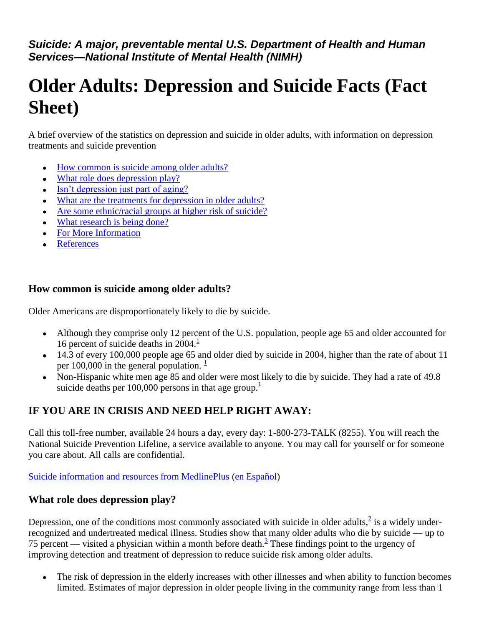*Suicide: A major, preventable mental U.S. Department of Health and Human Services—National Institute of Mental Health (NIMH)*

# **Older Adults: Depression and Suicide Facts (Fact Sheet)**

A brief overview of the statistics on depression and suicide in older adults, with information on depression treatments and suicide prevention

- [How common is suicide among older adults?](http://www.nimh.nih.gov/health/publications/older-adults-depression-and-suicide-facts-fact-sheet/index.shtml#how-common#how-common)  $\bullet$
- [What role does depression play?](http://www.nimh.nih.gov/health/publications/older-adults-depression-and-suicide-facts-fact-sheet/index.shtml#role#role)
- [Isn't depression just part of aging?](http://www.nimh.nih.gov/health/publications/older-adults-depression-and-suicide-facts-fact-sheet/index.shtml#part-of-aging#part-of-aging)
- [What are the treatments for depression in older adults?](http://www.nimh.nih.gov/health/publications/older-adults-depression-and-suicide-facts-fact-sheet/index.shtml#treatments#treatments)
- [Are some ethnic/racial groups at higher risk of suicide?](http://www.nimh.nih.gov/health/publications/older-adults-depression-and-suicide-facts-fact-sheet/index.shtml#ethnic-racial#ethnic-racial)
- [What research is being done?](http://www.nimh.nih.gov/health/publications/older-adults-depression-and-suicide-facts-fact-sheet/index.shtml#research#research)
- [For More Information](http://www.nimh.nih.gov/health/publications/older-adults-depression-and-suicide-facts-fact-sheet/index.shtml#more-info#more-info)
- [References](http://www.nimh.nih.gov/health/publications/older-adults-depression-and-suicide-facts-fact-sheet/index.shtml#references#references)

# **How common is suicide among older adults?**

Older Americans are disproportionately likely to die by suicide.

- Although they comprise only 12 percent of the U.S. population, people age 65 and older accounted for [1](http://www.nimh.nih.gov/health/publications/older-adults-depression-and-suicide-facts-fact-sheet/index.shtml#cdc#cdc)6 percent of suicide deaths in  $2004<sup>1</sup>$
- 14.3 of every 100,000 people age 65 and older died by suicide in 2004, higher than the rate of about 11 per [1](http://www.nimh.nih.gov/health/publications/older-adults-depression-and-suicide-facts-fact-sheet/index.shtml#cdc#cdc)00,000 in the general population.  $\frac{1}{1}$
- Non-Hispanic white men age 85 and older were most likely to die by suicide. They had a rate of 49.8 suicide deaths per 100,000 persons in that age group[.](http://www.nimh.nih.gov/health/publications/older-adults-depression-and-suicide-facts-fact-sheet/index.shtml#cdc#cdc)<sup>1</sup>

# **IF YOU ARE IN CRISIS AND NEED HELP RIGHT AWAY:**

Call this toll-free number, available 24 hours a day, every day: 1-800-273-TALK (8255). You will reach the National Suicide Prevention Lifeline, a service available to anyone. You may call for yourself or for someone you care about. All calls are confidential.

[Suicide information and resources from MedlinePlus](http://www.nlm.nih.gov/medlineplus/suicide.html) [\(en Español\)](http://www.nlm.nih.gov/medlineplus/spanish/suicide.html)

## **What role does depression play?**

Depression, one of the conditions most commonly associated with suicide in older adults,  $\frac{2}{3}$  $\frac{2}{3}$  $\frac{2}{3}$  is a widely underrecognized and undertreated medical illness. Studies show that many older adults who die by suicide — up to 75 percent — visited a physician within a month before death.<sup>[3](http://www.nimh.nih.gov/health/publications/older-adults-depression-and-suicide-facts-fact-sheet/index.shtml#conwell-later-life#conwell-later-life)</sup> These findings point to the urgency of improving detection and treatment of depression to reduce suicide risk among older adults.

The risk of depression in the elderly increases with other illnesses and when ability to function becomes  $\bullet$ limited. Estimates of major depression in older people living in the community range from less than 1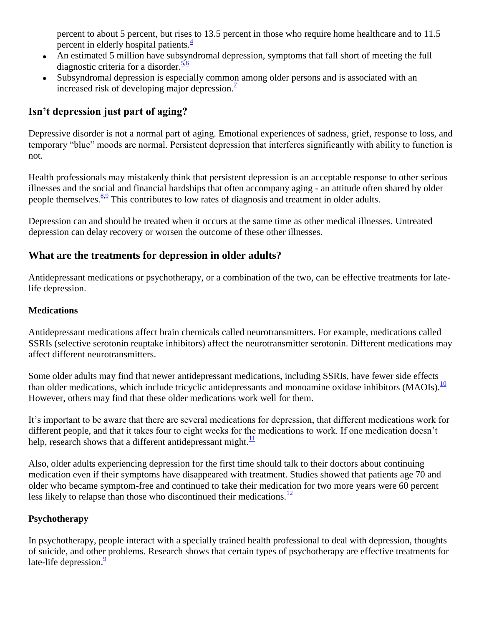percent to about 5 percent, but rises to 13.5 percent in those who require home healthcare and to 11.5 percent in elderly hospital patients[.](http://www.nimh.nih.gov/health/publications/older-adults-depression-and-suicide-facts-fact-sheet/index.shtml#hybels-blazer#hybels-blazer) $\frac{4}{3}$ 

- An estimated 5 million have subsyndromal depression, symptoms that fall short of meeting the full diagnostic criteria for a disorder. $\frac{5,6}{5}$  $\frac{5,6}{5}$  $\frac{5,6}{5}$  $\frac{5,6}{5}$
- Subsyndromal depression is especially common among older persons and is associated with an increased risk of developing major depression. $\frac{7}{1}$  $\frac{7}{1}$  $\frac{7}{1}$

# **Isn't depression just part of aging?**

Depressive disorder is not a normal part of aging. Emotional experiences of sadness, grief, response to loss, and temporary "blue" moods are normal. Persistent depression that interferes significantly with ability to function is not.

Health professionals may mistakenly think that persistent depression is an acceptable response to other serious illnesses and the social and financial hardships that often accompany aging - an attitude often shared by older people themselves. $\frac{8.9}{2}$  $\frac{8.9}{2}$  $\frac{8.9}{2}$  This contributes to low rates of diagnosis and treatment in older adults.

Depression can and should be treated when it occurs at the same time as other medical illnesses. Untreated depression can delay recovery or worsen the outcome of these other illnesses.

## **What are the treatments for depression in older adults?**

Antidepressant medications or psychotherapy, or a combination of the two, can be effective treatments for latelife depression.

#### **Medications**

Antidepressant medications affect brain chemicals called neurotransmitters. For example, medications called SSRIs (selective serotonin reuptake inhibitors) affect the neurotransmitter serotonin. Different medications may affect different neurotransmitters.

Some older adults may find that newer antidepressant medications, including SSRIs, have fewer side effects than older medications, which include tricyclic antidepressants and monoamine oxidase inhibitors (MAOIs). $\frac{10}{10}$  $\frac{10}{10}$  $\frac{10}{10}$ However, others may find that these older medications work well for them.

It's important to be aware that there are several medications for depression, that different medications work for different people, and that it takes four to eight weeks for the medications to work. If one medication doesn't help, research shows that a different antidepressant might. $\frac{11}{11}$  $\frac{11}{11}$  $\frac{11}{11}$ 

Also, older adults experiencing depression for the first time should talk to their doctors about continuing medication even if their symptoms have disappeared with treatment. Studies showed that patients age 70 and older who became symptom-free and continued to take their medication for two more years were 60 percent less likely to relapse than those who discontinued their medications.<sup>[12](http://www.nimh.nih.gov/health/publications/older-adults-depression-and-suicide-facts-fact-sheet/index.shtml#reynolds-dew#reynolds-dew)</sup>

#### **Psychotherapy**

In psychotherapy, people interact with a specially trained health professional to deal with depression, thoughts of suicide, and other problems. Research shows that certain types of psychotherapy are effective treatments for late-life depression[.](http://www.nimh.nih.gov/health/publications/older-adults-depression-and-suicide-facts-fact-sheet/index.shtml#lebowitz#lebowitz) $\frac{9}{2}$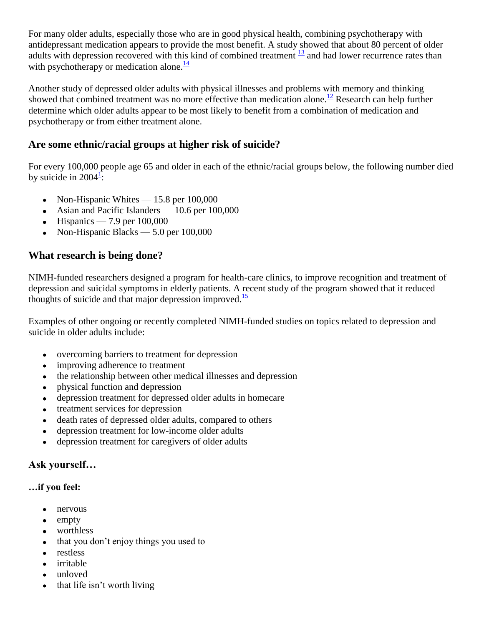For many older adults, especially those who are in good physical health, combining psychotherapy with antidepressant medication appears to provide the most benefit. A study showed that about 80 percent of older adults with depression recovered with this kind of combined treatment  $\frac{13}{2}$  $\frac{13}{2}$  $\frac{13}{2}$  and had lower recurrence rates than with psychotherapy or medication alone. $\frac{14}{1}$  $\frac{14}{1}$  $\frac{14}{1}$ 

Another study of depressed older adults with physical illnesses and problems with memory and thinking showed that combined treatment was no more effective than medication alone.<sup>[12](http://www.nimh.nih.gov/health/publications/older-adults-depression-and-suicide-facts-fact-sheet/index.shtml#reynolds-dew#reynolds-dew)</sup> Research can help further determine which older adults appear to be most likely to benefit from a combination of medication and psychotherapy or from either treatment alone.

# **Are some ethnic/racial groups at higher risk of suicide?**

For every 100,000 people age 65 and older in each of the ethnic/racial groups below, the following number died by suicide in 2004<sup> $\frac{1}{2}$ </sup>[:](http://www.nimh.nih.gov/health/publications/older-adults-depression-and-suicide-facts-fact-sheet/index.shtml#cdc#cdc)

- Non-Hispanic Whites  $-15.8$  per 100,000
- Asian and Pacific Islanders 10.6 per 100,000
- $\bullet$  Hispanics 7.9 per 100,000
- Non-Hispanic Blacks  $5.0$  per  $100,000$

## **What research is being done?**

NIMH-funded researchers designed a program for health-care clinics, to improve recognition and treatment of depression and suicidal symptoms in elderly patients. A recent study of the program showed that it reduced thoughts of suicide and that major depression improved. $\frac{15}{12}$  $\frac{15}{12}$  $\frac{15}{12}$ 

Examples of other ongoing or recently completed NIMH-funded studies on topics related to depression and suicide in older adults include:

- overcoming barriers to treatment for depression
- improving adherence to treatment  $\bullet$
- the relationship between other medical illnesses and depression
- physical function and depression
- depression treatment for depressed older adults in homecare
- treatment services for depression
- death rates of depressed older adults, compared to others
- depression treatment for low-income older adults
- depression treatment for caregivers of older adults

## **Ask yourself…**

#### **…if you feel:**

- nervous
- empty
- worthless
- that you don't enjoy things you used to
- restless
- irritable
- unloved
- that life isn't worth living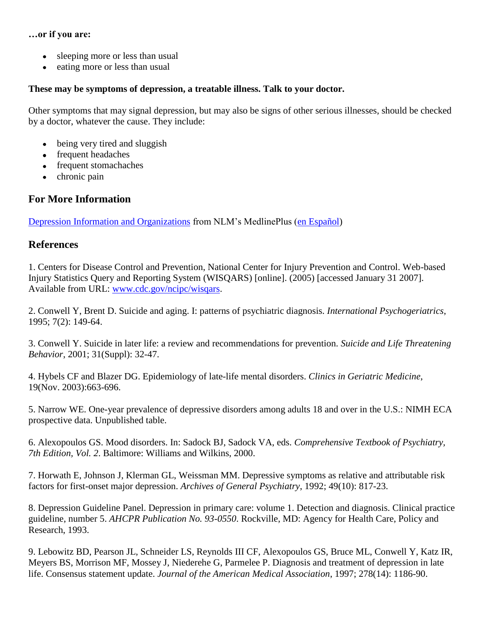#### **…or if you are:**

- sleeping more or less than usual  $\bullet$
- eating more or less than usual

#### **These may be symptoms of depression, a treatable illness. Talk to your doctor.**

Other symptoms that may signal depression, but may also be signs of other serious illnesses, should be checked by a doctor, whatever the cause. They include:

- being very tired and sluggish
- frequent headaches
- frequent stomachaches
- chronic pain

# **For More Information**

[Depression Information and Organizations](http://www.nlm.nih.gov/medlineplus/depression.html) from NLM's MedlinePlus [\(en Español\)](http://www.nlm.nih.gov/medlineplus/spanish/depression.html)

## **References**

1. Centers for Disease Control and Prevention, National Center for Injury Prevention and Control. Web-based Injury Statistics Query and Reporting System (WISQARS) [online]. (2005) [accessed January 31 2007]. Available from URL: [www.cdc.gov/ncipc/wisqars.](http://www.cdc.gov/ncipc/wisqars)

2. Conwell Y, Brent D. Suicide and aging. I: patterns of psychiatric diagnosis. *International Psychogeriatrics*, 1995; 7(2): 149-64.

3. Conwell Y. Suicide in later life: a review and recommendations for prevention. *Suicide and Life Threatening Behavior*, 2001; 31(Suppl): 32-47.

4. Hybels CF and Blazer DG. Epidemiology of late-life mental disorders. *Clinics in Geriatric Medicine*, 19(Nov. 2003):663-696.

5. Narrow WE. One-year prevalence of depressive disorders among adults 18 and over in the U.S.: NIMH ECA prospective data. Unpublished table.

6. Alexopoulos GS. Mood disorders. In: Sadock BJ, Sadock VA, eds. *Comprehensive Textbook of Psychiatry, 7th Edition, Vol. 2*. Baltimore: Williams and Wilkins, 2000.

7. Horwath E, Johnson J, Klerman GL, Weissman MM. Depressive symptoms as relative and attributable risk factors for first-onset major depression. *Archives of General Psychiatry*, 1992; 49(10): 817-23.

8. Depression Guideline Panel. Depression in primary care: volume 1. Detection and diagnosis. Clinical practice guideline, number 5. *AHCPR Publication No. 93-0550*. Rockville, MD: Agency for Health Care, Policy and Research, 1993.

9. Lebowitz BD, Pearson JL, Schneider LS, Reynolds III CF, Alexopoulos GS, Bruce ML, Conwell Y, Katz IR, Meyers BS, Morrison MF, Mossey J, Niederehe G, Parmelee P. Diagnosis and treatment of depression in late life. Consensus statement update. *Journal of the American Medical Association*, 1997; 278(14): 1186-90.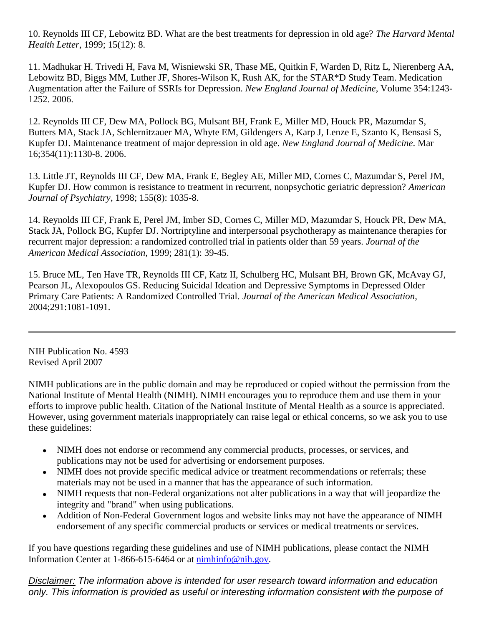10. Reynolds III CF, Lebowitz BD. What are the best treatments for depression in old age? *The Harvard Mental Health Letter*, 1999; 15(12): 8.

11. Madhukar H. Trivedi H, Fava M, Wisniewski SR, Thase ME, Quitkin F, Warden D, Ritz L, Nierenberg AA, Lebowitz BD, Biggs MM, Luther JF, Shores-Wilson K, Rush AK, for the STAR\*D Study Team. Medication Augmentation after the Failure of SSRIs for Depression. *New England Journal of Medicine*, Volume 354:1243- 1252. 2006.

12. Reynolds III CF, Dew MA, Pollock BG, Mulsant BH, Frank E, Miller MD, Houck PR, Mazumdar S, Butters MA, Stack JA, Schlernitzauer MA, Whyte EM, Gildengers A, Karp J, Lenze E, Szanto K, Bensasi S, Kupfer DJ. Maintenance treatment of major depression in old age. *New England Journal of Medicine*. Mar 16;354(11):1130-8. 2006.

13. Little JT, Reynolds III CF, Dew MA, Frank E, Begley AE, Miller MD, Cornes C, Mazumdar S, Perel JM, Kupfer DJ. How common is resistance to treatment in recurrent, nonpsychotic geriatric depression? *American Journal of Psychiatry*, 1998; 155(8): 1035-8.

14. Reynolds III CF, Frank E, Perel JM, Imber SD, Cornes C, Miller MD, Mazumdar S, Houck PR, Dew MA, Stack JA, Pollock BG, Kupfer DJ. Nortriptyline and interpersonal psychotherapy as maintenance therapies for recurrent major depression: a randomized controlled trial in patients older than 59 years. *Journal of the American Medical Association*, 1999; 281(1): 39-45.

15. Bruce ML, Ten Have TR, Reynolds III CF, Katz II, Schulberg HC, Mulsant BH, Brown GK, McAvay GJ, Pearson JL, Alexopoulos GS. Reducing Suicidal Ideation and Depressive Symptoms in Depressed Older Primary Care Patients: A Randomized Controlled Trial. *Journal of the American Medical Association*, 2004;291:1081-1091.

NIH Publication No. 4593 Revised April 2007

NIMH publications are in the public domain and may be reproduced or copied without the permission from the National Institute of Mental Health (NIMH). NIMH encourages you to reproduce them and use them in your efforts to improve public health. Citation of the National Institute of Mental Health as a source is appreciated. However, using government materials inappropriately can raise legal or ethical concerns, so we ask you to use these guidelines:

- NIMH does not endorse or recommend any commercial products, processes, or services, and  $\bullet$ publications may not be used for advertising or endorsement purposes.
- NIMH does not provide specific medical advice or treatment recommendations or referrals; these materials may not be used in a manner that has the appearance of such information.
- NIMH requests that non-Federal organizations not alter publications in a way that will jeopardize the  $\bullet$ integrity and "brand" when using publications.
- Addition of Non-Federal Government logos and website links may not have the appearance of NIMH endorsement of any specific commercial products or services or medical treatments or services.

If you have questions regarding these guidelines and use of NIMH publications, please contact the NIMH Information Center at 1-866-615-6464 or at [nimhinfo@nih.gov.](mailto:nimhinfo@nih.gov)

*Disclaimer: The information above is intended for user research toward information and education only. This information is provided as useful or interesting information consistent with the purpose of*